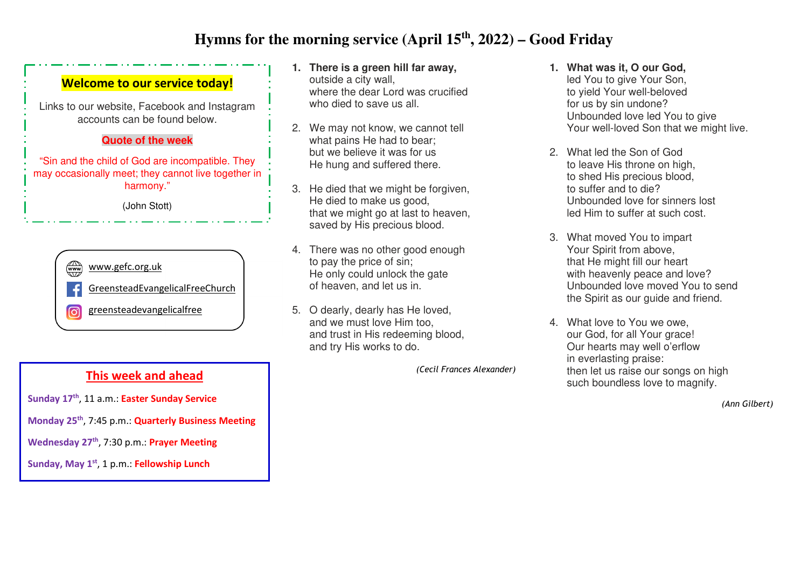## **Hymns for the morning service (April 15th, 2022) – Good Friday**



**Sunday 17th**, 11 a.m.: **Easter Sunday Service Monday 25th**, 7:45 p.m.: **Quarterly Business Meeting Wednesday 27th**, 7:30 p.m.: **Prayer Meeting Sunday, May 1st**, 1 p.m.: **Fellowship Lunch** 

- **1. There is a green hill far away,** outside a city wall, where the dear Lord was crucified who died to save us all.
- 2. We may not know, we cannot tell what pains He had to bear; but we believe it was for us He hung and suffered there.
- 3. He died that we might be forgiven, He died to make us good, that we might go at last to heaven, saved by His precious blood.
- 4. There was no other good enough to pay the price of sin; He only could unlock the gate of heaven, and let us in.
- 5. O dearly, dearly has He loved, and we must love Him too, and trust in His redeeming blood, and try His works to do.

*(Cecil Frances Alexander)*

- **1. What was it, O our God,**  led You to give Your Son, to yield Your well-beloved for us by sin undone? Unbounded love led You to give Your well-loved Son that we might live.
- 2. What led the Son of God to leave His throne on high, to shed His precious blood, to suffer and to die? Unbounded love for sinners lost led Him to suffer at such cost.
- 3. What moved You to impart Your Spirit from above, that He might fill our heart with heavenly peace and love? Unbounded love moved You to send the Spirit as our quide and friend.
- 4. What love to You we owe, our God, for all Your grace! Our hearts may well o'erflow in everlasting praise: then let us raise our songs on high such boundless love to magnify.

*(Ann Gilbert)*